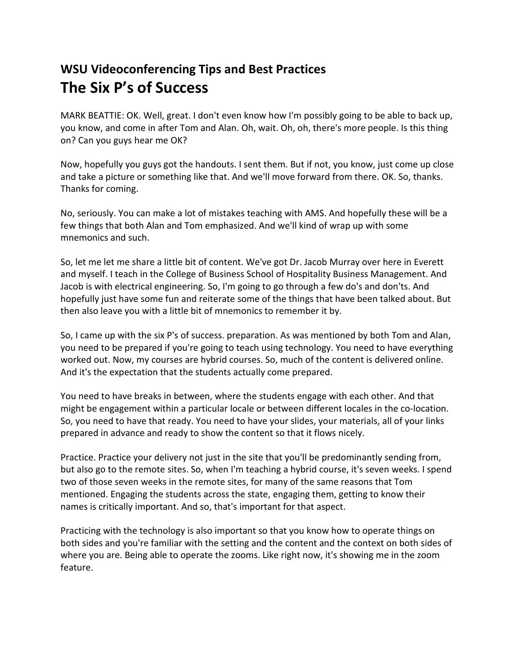## **WSU Videoconferencing Tips and Best Practices The Six P's of Success**

MARK BEATTIE: OK. Well, great. I don't even know how I'm possibly going to be able to back up, you know, and come in after Tom and Alan. Oh, wait. Oh, oh, there's more people. Is this thing on? Can you guys hear me OK?

Now, hopefully you guys got the handouts. I sent them. But if not, you know, just come up close and take a picture or something like that. And we'll move forward from there. OK. So, thanks. Thanks for coming.

No, seriously. You can make a lot of mistakes teaching with AMS. And hopefully these will be a few things that both Alan and Tom emphasized. And we'll kind of wrap up with some mnemonics and such.

So, let me let me share a little bit of content. We've got Dr. Jacob Murray over here in Everett and myself. I teach in the College of Business School of Hospitality Business Management. And Jacob is with electrical engineering. So, I'm going to go through a few do's and don'ts. And hopefully just have some fun and reiterate some of the things that have been talked about. But then also leave you with a little bit of mnemonics to remember it by.

So, I came up with the six P's of success. preparation. As was mentioned by both Tom and Alan, you need to be prepared if you're going to teach using technology. You need to have everything worked out. Now, my courses are hybrid courses. So, much of the content is delivered online. And it's the expectation that the students actually come prepared.

You need to have breaks in between, where the students engage with each other. And that might be engagement within a particular locale or between different locales in the co-location. So, you need to have that ready. You need to have your slides, your materials, all of your links prepared in advance and ready to show the content so that it flows nicely.

Practice. Practice your delivery not just in the site that you'll be predominantly sending from, but also go to the remote sites. So, when I'm teaching a hybrid course, it's seven weeks. I spend two of those seven weeks in the remote sites, for many of the same reasons that Tom mentioned. Engaging the students across the state, engaging them, getting to know their names is critically important. And so, that's important for that aspect.

Practicing with the technology is also important so that you know how to operate things on both sides and you're familiar with the setting and the content and the context on both sides of where you are. Being able to operate the zooms. Like right now, it's showing me in the zoom feature.